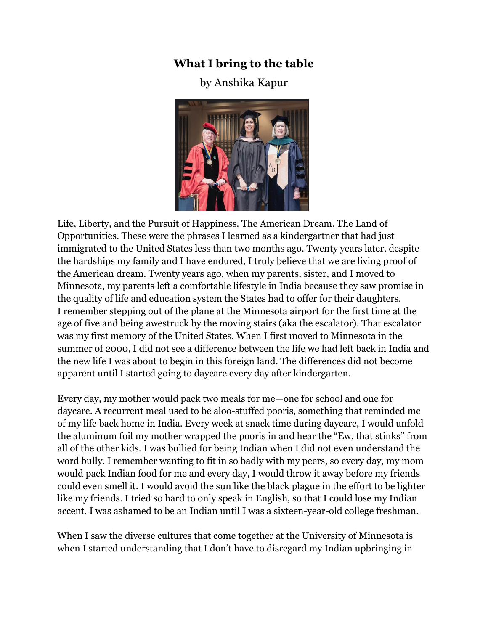## **What I bring to the table**

## by Anshika Kapur



Life, Liberty, and the Pursuit of Happiness. The American Dream. The Land of Opportunities. These were the phrases I learned as a kindergartner that had just immigrated to the United States less than two months ago. Twenty years later, despite the hardships my family and I have endured, I truly believe that we are living proof of the American dream. Twenty years ago, when my parents, sister, and I moved to Minnesota, my parents left a comfortable lifestyle in India because they saw promise in the quality of life and education system the States had to offer for their daughters. I remember stepping out of the plane at the Minnesota airport for the first time at the age of five and being awestruck by the moving stairs (aka the escalator). That escalator was my first memory of the United States. When I first moved to Minnesota in the summer of 2000, I did not see a difference between the life we had left back in India and the new life I was about to begin in this foreign land. The differences did not become apparent until I started going to daycare every day after kindergarten.

Every day, my mother would pack two meals for me—one for school and one for daycare. A recurrent meal used to be aloo-stuffed pooris, something that reminded me of my life back home in India. Every week at snack time during daycare, I would unfold the aluminum foil my mother wrapped the pooris in and hear the "Ew, that stinks" from all of the other kids. I was bullied for being Indian when I did not even understand the word bully. I remember wanting to fit in so badly with my peers, so every day, my mom would pack Indian food for me and every day, I would throw it away before my friends could even smell it. I would avoid the sun like the black plague in the effort to be lighter like my friends. I tried so hard to only speak in English, so that I could lose my Indian accent. I was ashamed to be an Indian until I was a sixteen-year-old college freshman.

When I saw the diverse cultures that come together at the University of Minnesota is when I started understanding that I don't have to disregard my Indian upbringing in